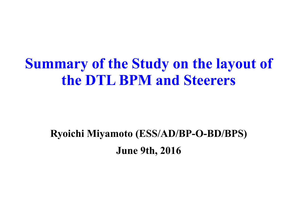# **Summary of the Study on the layout of the DTL BPM and Steerers**

### **Ryoichi Miyamoto (ESS/AD/BP-O-BD/BPS) June 9th, 2016**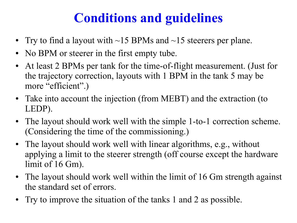## **Conditions and guidelines**

- Try to find a layout with  $\sim$ 15 BPMs and  $\sim$ 15 steerers per plane.
- No BPM or steerer in the first empty tube.
- At least 2 BPMs per tank for the time-of-flight measurement. (Just for the trajectory correction, layouts with 1 BPM in the tank 5 may be more "efficient".)
- Take into account the injection (from MEBT) and the extraction (to LEDP).
- The layout should work well with the simple 1-to-1 correction scheme. (Considering the time of the commissioning.)
- The layout should work well with linear algorithms, e.g., without applying a limit to the steerer strength (off course except the hardware limit of 16 Gm).
- The layout should work well within the limit of 16 Gm strength against the standard set of errors.
- Try to improve the situation of the tanks 1 and 2 as possible.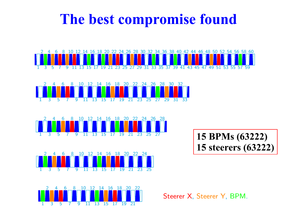## **The best compromise found**











Steerer X, Steerer Y, BPM.

**15 BPMs (63222)**

**15 steerers (63222)**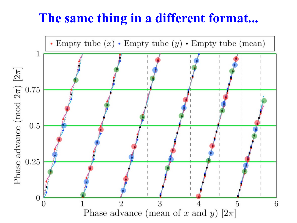### **The same thing in a different format...**

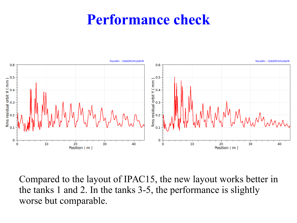## **Performance check**



Compared to the layout of IPAC15, the new layout works better in the tanks 1 and 2. In the tanks 3-5, the performance is slightly worse but comparable.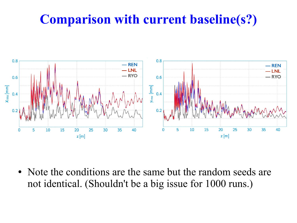### **Comparison with current baseline(s?)**



• Note the conditions are the same but the random seeds are not identical. (Shouldn't be a big issue for 1000 runs.)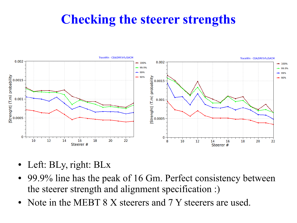### **Checking the steerer strengths**



- Left: BLy, right: BLx
- 99.9% line has the peak of 16 Gm. Perfect consistency between the steerer strength and alignment specification :)
- Note in the MEBT 8 X steerers and 7 Y steerers are used.